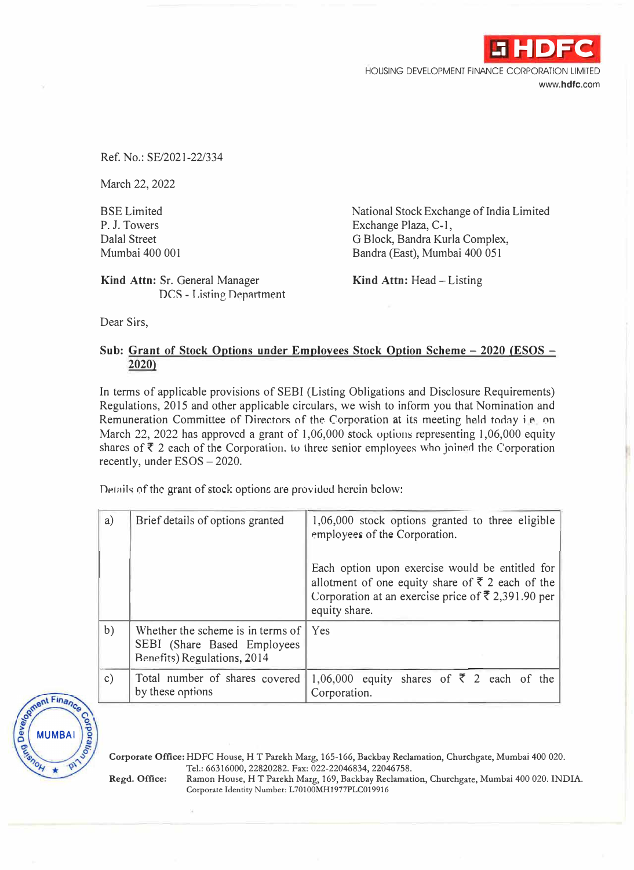HOUSING DEVELOPMENT FINANCE CORPORATION LIMITED **www.hdfc.com** 

**.i HDFC** 

Ref. No.: SE/2021-22/334

March 22, 2022

BSE Limited P. J. Towers Dalal Street Mumbai 400 001

National Stock Exchange of India Limited Exchange Plaza, C-1, G Block, Bandra Kurla Complex, Bandra (East), Mumbai 400 051

**Kind Attn: Sr.** General Manager DCS - Listing Department **Kind Attn:** Head- Listing

Dear Sirs,

## **Sub: Grant of Stock Options under Employees Stock Option Scheme - 2020 (ESOS - 2020)**

In terms of applicable provisions of SEBI (Listing Obligations and Disclosure Requirements) Regulations, 2015 and other applicable circulars, we wish to inform you that Nomination and Remuneration Committee of Directors of the Corporation at its meeting held today i.e. on March 22, 2022 has approved a grant of 1,06,000 stock options representing 1,06,000 equity shares of  $\bar{\tau}$  2 each of the Corporation, to three senior employees who joined the Corporation recently, under ESOS - 2020.

Details of the grant of stock options are provided herein below:

| a)            | Brief details of options granted                                                                       | 1,06,000 stock options granted to three eligible<br>employees of the Corporation.                                                                                                                   |
|---------------|--------------------------------------------------------------------------------------------------------|-----------------------------------------------------------------------------------------------------------------------------------------------------------------------------------------------------|
|               |                                                                                                        | Each option upon exercise would be entitled for<br>allotment of one equity share of $\bar{\xi}$ 2 each of the<br>Corporation at an exercise price of $\overline{\xi}$ 2,391.90 per<br>equity share. |
| b)            | Whether the scheme is in terms of<br>SEBI (Share Based Employees<br><b>Benefits) Regulations, 2014</b> | Yes                                                                                                                                                                                                 |
| $\mathbf{c})$ | Total number of shares covered<br>by these options                                                     | 1,06,000 equity shares of $\overline{z}$ 2 each of the<br>Corporation.                                                                                                                              |



**Corporate Office:** HDFC House, HT Parekh Marg, 165-166, Backbay Reclamation, Churchgate, Mumbai 400 020. Tel.: 66316000, 22820282. Fax: 022-22046834, 22046758.

**Regd. Office:** Ramon House, HT Parekh Marg, 169, Backbay Reclamation, Churchgate, Mumbai 400 020. INDIA. Corporate Identity Number: L70100MH1977PLC019916